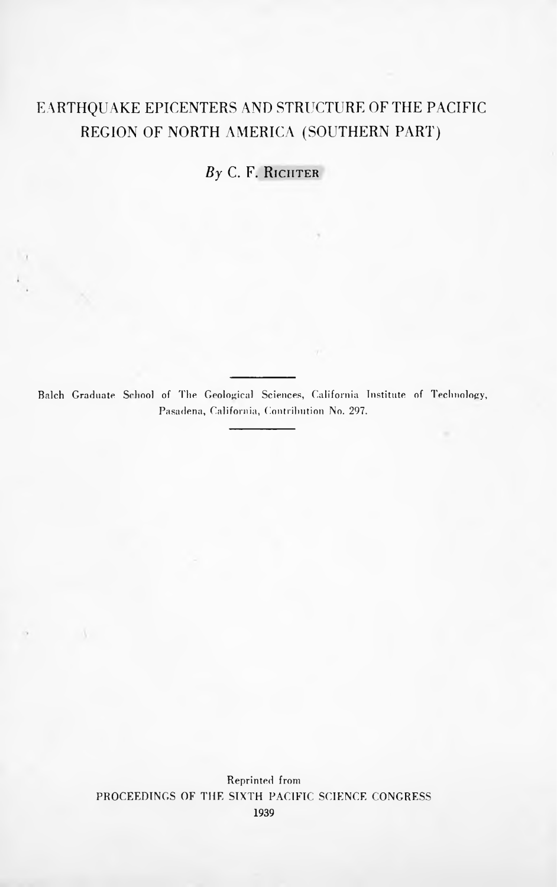# EARTHQUAKE EPICENTERS AND STRUCTURE OF THE PACIFIC REGION OF NORTH AMERICA (SOUTHERN PART)

 $By$  C. F. Richter

Balch Graduate School of The Geological Sciences, California Institute of Technology, Pasadena, California, Contribution No. 297.

> Reprinted from PROCEEDINGS OF THE SIXTH PACIFIC SCIENCE CONGRESS 1939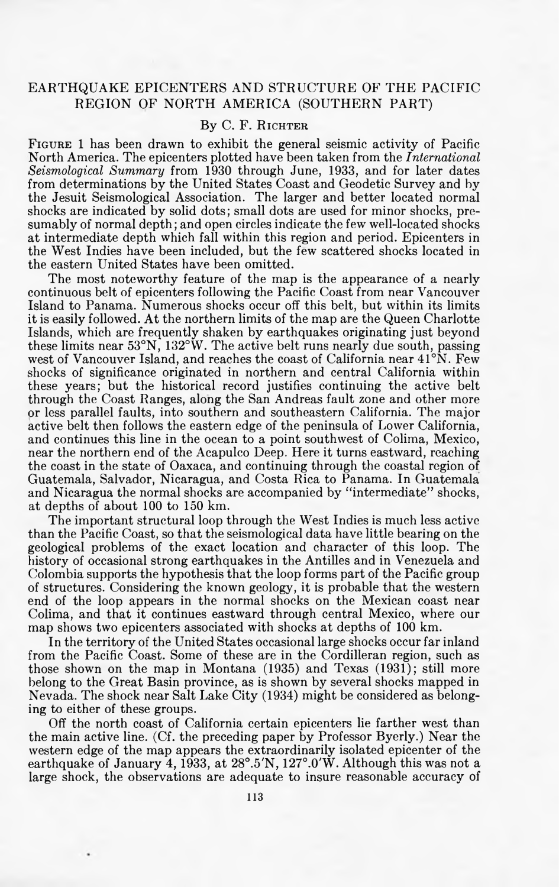# EARTHQUAKE EPICENTERS AND STRUCTURE OF THE PACIFIC REGION OF NORTH AMERICA (SOUTHERN PART)

## By C. F. RICHTER

Figure <sup>1</sup> has been drawn to exhibit the general seismic activity of Pacific North America. The epicenters plotted have been taken from the International Seismological Summary from 1930 through June, 1933, and for later dates from determinations by the United States Coast and Geodetic Survey and by the Jesuit Seismological Association. The larger and better located normal shocks are indicated by solid dots; small dots are used for minor shocks, presumably of normal depth; and open circles indicate the few well-located shocks at intermediate depth which fall within this region and period. Epicenters in the West Indies have been included, but the few scattered shocks located in the eastern United States have been omitted.

The most noteworthy feature of the map is the appearance of a nearly continuous belt of epicenters following the Pacific Coast from near Vancouver Island to Panama. Numerous shocks occur off this belt, but within its limits it is easily followed. At the northern limits of the map are the Queen Charlotte Islands, which are frequently shaken by earthquakes originating just beyond these limits near  $53^{\circ}$ N,  $132^{\circ}$ W. The active belt runs nearly due south, passing west of Vancouver Island, and reaches the coast of California near  $41^{\circ}$ N. Few shocks of significance originated in northern and central California within these years; but the historical record justifies continuing the active belt through the Coast Ranges, along the San Andreas fault zone and other more or less parallel faults, into southern and southeastern California. The major active belt then follows the eastern edge of the peninsula of Lower California, and continues this line in the ocean to a point southwest of Colima, Mexico, near the northern end of the Acapulco Deep. Here it turns eastward, reaching the coast in the state of Oaxaca, and continuing through the coastal region of Guatemala, Salvador, Nicaragua, and Costa Rica to Panama. In Guatemala and Nicaragua the normal shocks are accompanied by "intermediate" shocks, at depths of about 100 to 150 km.

The important structural loop through the West Indies is much less active than the Pacific Coast, so that the seismological data have little bearing on the geological problems of the exact location and character of this loop. The history of occasional strong earthquakes in the Antilles and in Venezuela and Colombia supports the hypothesis that the loop forms part of the Pacific group of structures. Considering the known geology, it is probable that the western end of the loop appears in the normal shocks on the Mexican coast near Colima, and that it continues eastward through central Mexico, where our map shows two epicenters associated with shocks at depths of 100 km.

In the territory of the United States occasional large shocks occur far inland from the Pacific Coast. Some of these are in the Cordilleran region, such as those shown on the map in Montana (1935) and Texas (1931); still more belong to the Great Basin province, as is shown by several shocks mapped in Nevada. The shock near Salt Lake City (1934) might be considered as belonging to either of these groups.

Off the north coast of California certain epicenters lie farther west than the main active line. (Cf. the preceding paper by Professor Byerly.) Near the western edge of the map appears the extraordinarily isolated epicenter of the earthquake of January 4,1933, at <sup>28</sup>º.5'N, <sup>127</sup>º.0'W. Although this was not a large shock, the observations are adequate to insure reasonable accuracy of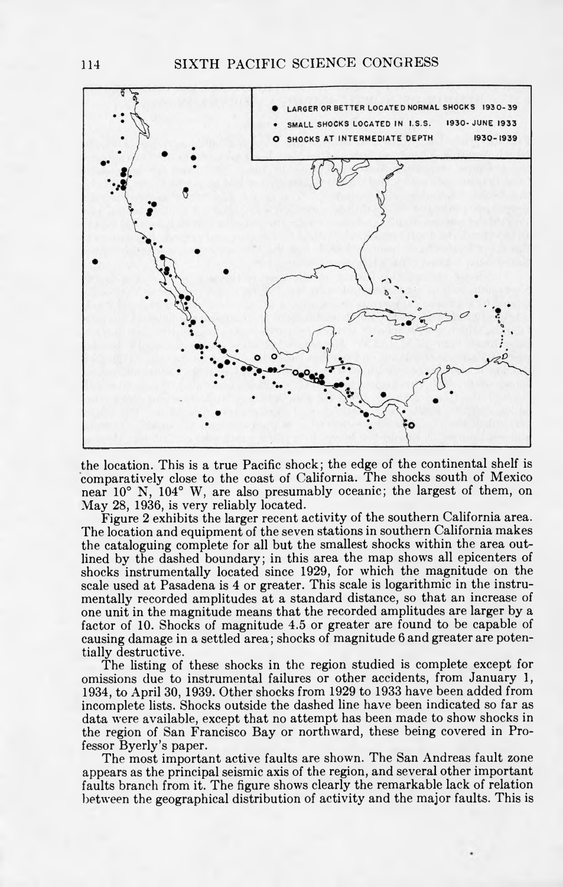

the location. This is a true Pacific shock; the edge of the continental shelf is comparatively close to the coast of California. The shocks south of Mexico near 10º N, 104º W, are also presumably oceanic; the largest of them, on May 28, 1936, is very reliably located.

Figure 2 exhibits the larger recent activity of the southern California area. The location and equipment of the seven stations in southern California makes the cataloguing complete for all but the smallest shocks within the area outlined by the dashed boundary; in this area the map shows all epicenters of shocks instrumentally located since 1929, for which the magnitude on the scale used at Pasadena is 4 or greater. This scale is logarithmic in the instrumentally recorded amplitudes at a standard distance, so that an increase of one unit in the magnitude means that the recorded amplitudes are larger by a factor of 10. Shocks of magnitude 4.5 or greater are found to be capable of causing damage in a settled area; shocks of magnitude 6 and greater are potentially destructive.

The listing of these shocks in the region studied is complete except for omissions due to instrumental failures or other accidents, from January 1, 1934, to April 30, 1939. Other shocks from 1929 to 1933 have been added from incomplete lists. Shocks outside the dashed line have been indicated so far as data were available, except that no attempt has been made to show shocks in the region of San Francisco Bay or northward, these being covered in Professor Byerly's paper.

The most important active faults are shown. The San Andreas fault zone appears as the principal seismic axis of the region, and several other important faults branch from it. The figure shows clearly the remarkable lack of relation between the geographical distribution of activity and the major faults. This is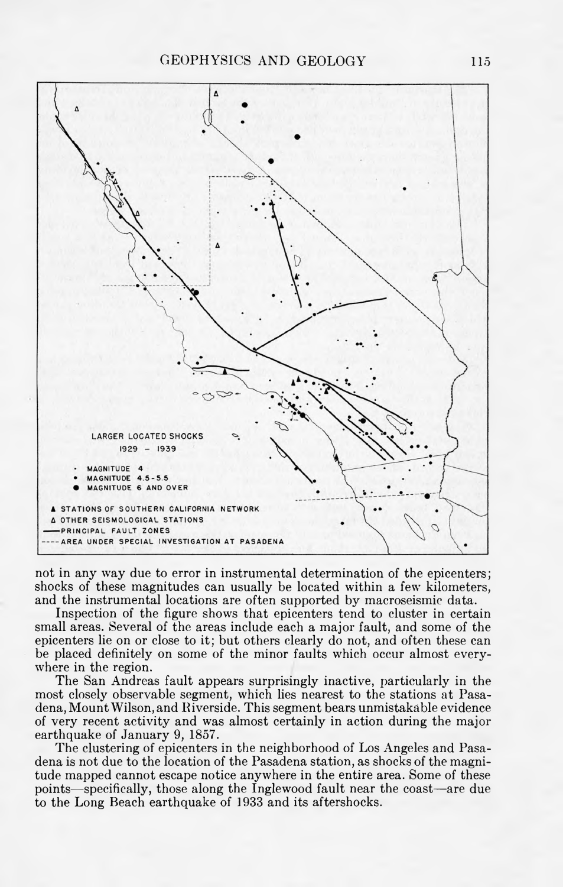GEOPHYSICS AND GEOLOGY 115



not in any way due to error in instrumental determination of the epicenters ; shocks of these magnitudes can usually be located within a few kilometers, and the instrumental locations are often supported by macroseismic data.

Inspection of the figure shows that epicenters tend to cluster in certain small areas. Several of the areas include each a major fault, and some of the epicenters lie on or close to it; but others clearly do not, and often these can be placed definitely on some of the minor faults which occur almost everywhere in the region.

The San Andreas fault appears surprisingly inactive, particularly in the most closely observable segment, which lies nearest to the stations at Pasadena, MountWilson, and Riverside. This segment bears unmistakable evidence of very recent activity and was almost certainly in action during the major earthquake of January 9, 1857.

The clustering of epicenters in the neighborhood of Los Angeles and Pasadena is not due to the location of the Pasadena station, as shocks of the magnitude mapped cannot escape notice anywhere in the entire area. Some of these points—specifically, those along the Inglewood fault near the coast—are due to the Long Beach earthquake of 1933 and its aftershocks.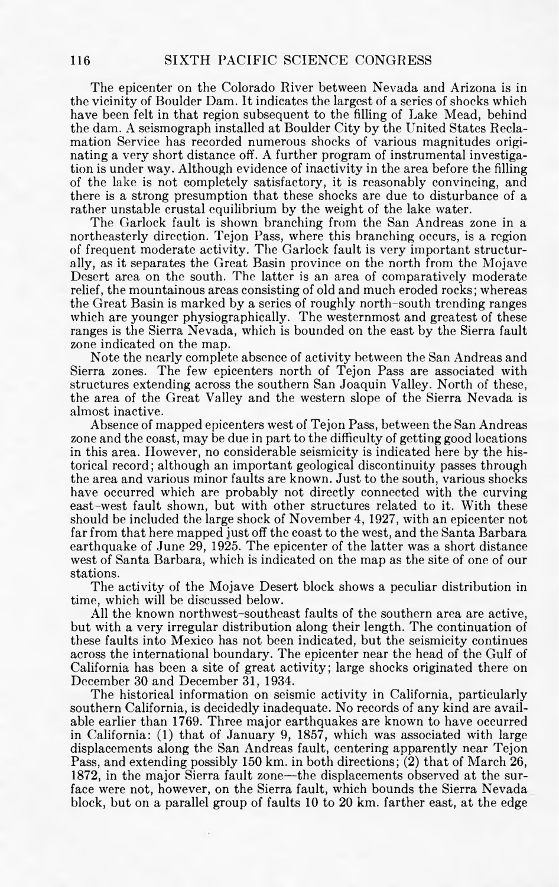The epicenter on the Colorado River between Nevada and Arizona is in the vicinity of Boulder Dam. It indicates the largest of a series of shocks which have been felt in that region subsequent to the filling of Lake Mead, behind the dam. A seismograph installed at Boulder City by the United States Reclamation Service has recorded numerous shocks of various magnitudes originating a very short distance off. A further program of instrumental investigation is under way. Although evidence of inactivity in the area before the filling of the lake is not completely satisfactory, it is reasonably convincing, and there is a strong presumption that these shocks are due to disturbance of a rather unstable crustal equilibrium by the weight of the lake water.

The Carlock fault is shown branching from the San Andreas zone in a northeasterly direction. Tejon Pass, where this branching occurs, is a region of frequent moderate activity. The Carlock fault is very important structurally, as it separates the Great Basin province on the north from the Mojave Desert area on the south. The latter is an area of comparatively moderate relief, the mountainous areas consisting of old and much eroded rocks ; whereas the Great Basin is marked by a series of roughly north-south trending ranges which are younger physiographically. The westernmost and greatest of these ranges is the Sierra Nevada, which is bounded on the east by the Sierra fault zone indicated on the map.

Note the nearly complete absence of activity between the San Andreas and Sierra zones. The few epicenters north of Tejon Pass are associated with structures extending across the southern San Joaquin Valley. North of these, the area of the Great Valley and the western slope of the Sierra Nevada is almost inactive.

Absence of mapped epicenters west of Tejon Pass, between the San Andreas zone and the coast, may be due in part to the difficulty of getting good locations in this area. However, no considerable seismicity is indicated here by the historical record; although an important geological discontinuity passes through the area and various minor faults are known. Just to the south, various shocks have occurred which are probably not directly connected with the curving east-west fault shown, but with other structures related to it. With these should be included the large shock of November 4, 1927, with an epicenter not far from that here mapped just off the coast to the west, and the Santa Barbara earthquake of June 29, 1925. The epicenter of the latter was a short distance west of Santa Barbara, which is indicated on the map as the site of one of our stations.

The activity of the Mojave Desert block shows a peculiar distribution in time, which will be discussed below.

All the known northwest-southeast faults of the southern area are active, but with a very irregular distribution along their length. The continuation of these faults into Mexico has not been indicated, but the seismicity continues across the international boundary. The epicenter near the head of the Gulf of California has been a site of great activity; large shocks originated there on December 30 and December 31, 1934.

The historical information on seismic activity in California, particularly southern California, is decidedly inadequate. No records of any kind are available earlier than 1769. Three major earthquakes are known to have occurred in California: (1) that of January 9, 1857, which was associated with large displacements along the San Andreas fault, centering apparently near Tejon Pass, and extending possibly 150 km. in both directions; (2) that of March 26, 1872, in the major Sierra fault zone—the displacements observed at the surface were not, however, on the Sierra fault, which bounds the Sierra Nevada block, but on a parallel group of faults 10 to 20 km. farther east, at the edge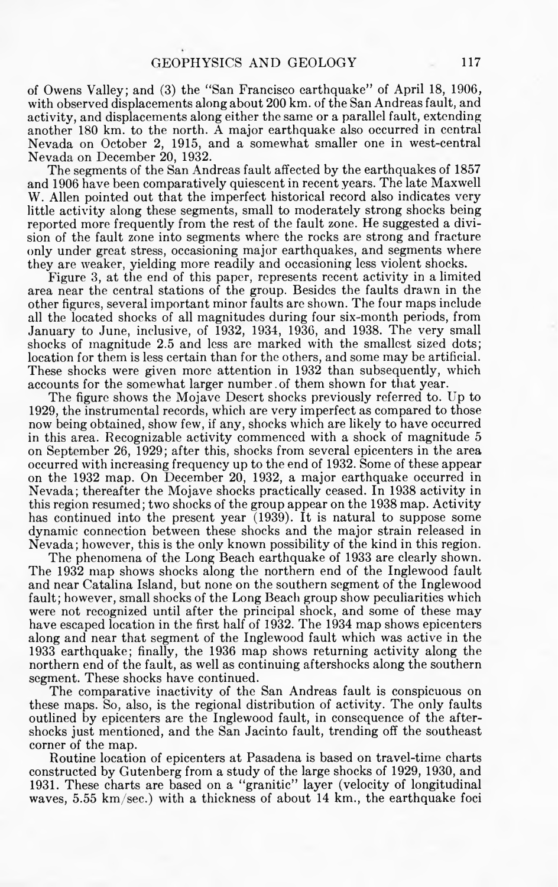of Owens Valley; and (3) the "San Francisco earthquake" of April 18, 1906, with observed displacements along about 200 km. of the San Andreas fault, and activity, and displacements along either the same or a parallel fault, extending another 180 km. to the north. A major earthquake also occurred in central Nevada on October 2, 1915, and a somewhat smaller one in west-central Nevada on December 20, 1932.

The segments of the San Andreas fault affected by the earthquakes of 1857 and 1906 have been comparatively quiescent in recent years. The late Maxwell W. Allen pointed out that the imperfect historical record also indicates very little activity along these segments, small to moderately strong shocks being reported more frequently from the rest of the fault zone. He suggested a division of the fault zone into segments where the rocks are strong and fracture only under great stress, occasioning major earthquakes, and segments where they are weaker, yielding more readily and occasioning less violent shocks.

Figure 3, at the end of this paper, represents recent activity in a limited area near the central stations of the group. Besides the faults drawn in the other figures, several important minor faults are shown. The four maps include all the located shocks of all magnitudes during four six-month periods, from January to June, inclusive, of 1932, 1934, 1936, and 1938. The very small shocks of magnitude 2.5 and less are marked with the smallest sized dots; location for them is less certain than for the others, and some may be artificial. These shocks were given more attention in 1932 than subsequently, which accounts for the somewhat larger number of them shown for that year.

The figure shows the Mojave Desert shocks previously referred to. Up to 1929, the instrumental records, which are very imperfect as compared to those now being obtained, show few, if any, shocks which are likely to have occurred in this area. Recognizable activity commenced with a shock of magnitude 5 on September 26, 1929; after this, shocks from several epicenters in the area occurred with increasing frequency up to the end of 1932. Some of these appear on the 1932 map. On December 20, 1932, a major earthquake occurred in Nevada; thereafter the Mojave shocks practically ceased. In 1938 activity in this region resumed; two shocks of the group appear on the 1938 map. Activity has continued into the present year (1939). It is natural to suppose some dynamic connection between these shocks and the major strain released in Nevada; however, this is the only known possibility of the kind in this region.

The phenomena of the Long Beach earthquake of 1933 are clearly shown. The 1932 map shows shocks along the northern end of the Inglewood fault and near Catalina Island, but none on the southern segment of the Inglewood fault; however, small shocks of the Long Beach group show peculiarities which were not recognized until after the principal shock, and some of these may have escaped location in the first half of 1932. The 1934 map shows epicenters along and near that segment of the Inglewood fault which was active in the 1933 earthquake; finally, the 1936 map shows returning activity along the northern end of the fault, as well as continuing aftershocks along the southern segment. These shocks have continued.

The comparative inactivity of the San Andreas fault is conspicuous on these maps. So, also, is the regional distribution of activity. The only faults outlined by epicenters are the Inglewood fault, in consequence of the aftershocks just mentioned, and the San Jacinto fault, trending off the southeast corner of the map.

Routine location of epicenters at Pasadena is based on travel-time charts constructed by Gutenberg from a study of the large shocks of 1929, 1930, and 1931. These charts are based on a "granitic" layer (velocity of longitudinal waves, 5.55 km∕sec.) with a thickness of about 14 km., the earthquake foci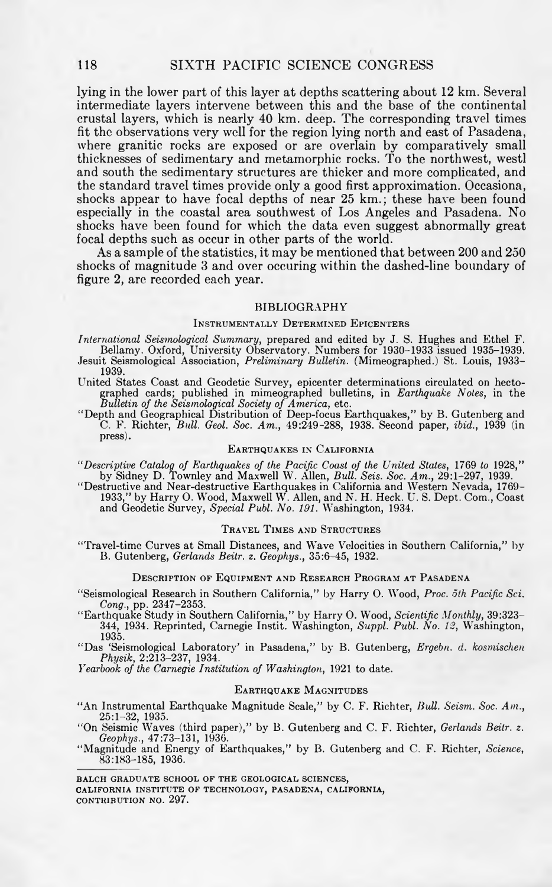lying in the lower part of this layer at depths scattering about 12 km. Several intermediate layers intervene between this and the base of the continental crustal layers, which is nearly 40 km. deep. The corresponding travel times fit the observations very well for the region lying north and east of Pasadena, where granitic rocks are exposed or are overlain by comparatively small thicknesses of sedimentary and metamorphic rocks. To the northwest, westl and south the sedimentary structures are thicker and more complicated, and the standard travel times provide only a good first approximation. Occasiona, shocks appear to have focal depths of near 25 km.; these have been found especially in the coastal area southwest of Los Angeles and Pasadena. No shocks have been found for which the data even suggest abnormally great focal depths such as occur in other parts of the world.

As a sample of the statistics, it may be mentioned that between 200 and 250 shocks of magnitude 3 and over occuring within the dashed-line boundary of figure 2, are recorded each year.

#### BIBLIOGRAPHY

#### Instrumentally Determined Epicenters

International Seismological Summary, prepared and edited by J. S. Hughes and Ethel F. Bellamy. Oxford, University Observatory. Numbers for 1930-1933 issued 1935-1939. Jesuit Seismological Association, *Preliminary Bulletin.* (Mimeographed.) St. Louis, 1933– 1939.

- United States Coast and Geodetic Survey, epicenter determinations circulated on hecto-
- graphed cards; published in mimeographed bulletins, in *Earthquake Notes*, in the *Bulletin of the Seismological Society of America*, etc.<br>
"Depth and Geographical Distribution of Deep-focus Earthquakes," by B. Gutenberg press).

### Earthquakes in California

"Descriptive Catalog of Earthquakes of the Pacific Coast of the United Stales, <sup>1769</sup> to 1928,"

by Sidney D. Townley and Maxwell W. Allen, Bull. Seis. Soc. Am., 29:1-297, 1939. "Destructive and Near-destructive Earthquakes in California and Western Nevada, 1769- 1933," by Harry O. Wood, Maxwell W. Allen, and N. H. Heck. U. S. Dept. Com., Coast and Geodetic Survey, Special Publ. No. 191. Washington, 1934.

#### Travel Times and Structures

"Travel-time Curves at Small Distances, and Wave Velocities in Southern California," by B. Gutenberg, Gerlands Beitr. z. Geophys., 35:6-45, 1932.

#### Description <sup>o</sup>f Equipment and Research Program at Pasadena

"Seismological Research in Southern California," by Harry O. Wood, Proc. 5th Pacific Sci. Cong., pp. 2347-2353.

"Earthquake Study in Southern California," by Harry O. Wood, Scientific Monthly, 39:323- 344, 1934. Reprinted, Carnegie Instit. Washington, Suppl. Publ. No. 12, Washington, 1935.

"Das 'Seismological Laboratory' in Pasadena," by B. Gutenberg, Ergebn. d. kosmischen Physik, 2:213-237, 1934.

Yearbook of the Carnegie Institution of Washington, 1921 to date.

#### Earthquake Magnitudes

"An Instrumental Earthquake Magnitude Scale," by C. F. Richter, Bull. Seism. Soc. Am.,

25:1-32, 1935. "On Seismic Waves (third paper)," by B. Gutenberg and C. F. Richter, Gerlands Beitr. z. Geophys., 47:73-131, 1936. Geophys., 47:73-131, 1936.<br>
"Magnitude and Energy of Earthquakes," by B. Gutenberg and C. F. Richter, Science,

83:183-185, 1936.

BALCH GRADUATE SCHOOL OF THE GEOLOGICAL SCIENCES,

CALIFORNIA INSTITUTE OF TECHNOLOGY, PASADENA, CALIFORNIA, CONTRIBUTION NO. 297.